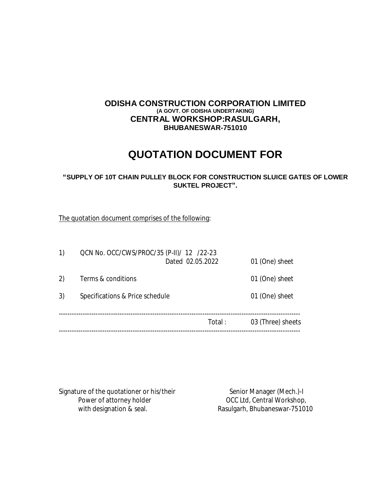## **ODISHA CONSTRUCTION CORPORATION LIMITED (A GOVT. OF ODISHA UNDERTAKING) CENTRAL WORKSHOP:RASULGARH, BHUBANESWAR-751010**

# **QUOTATION DOCUMENT FOR**

## **"SUPPLY OF 10T CHAIN PULLEY BLOCK FOR CONSTRUCTION SLUICE GATES OF LOWER SUKTEL PROJECT".**

The quotation document comprises of the following:

| 1) | QCN No. OCC/CWS/PROC/35 (P-II)/ 12 /22-23 | Dated 02.05.2022 | 01 (One) sheet    |  |
|----|-------------------------------------------|------------------|-------------------|--|
| 2) | Terms & conditions                        |                  | 01 (One) sheet    |  |
| 3) | Specifications & Price schedule           | 01 (One) sheet   |                   |  |
|    |                                           | Total :          | 03 (Three) sheets |  |

Signature of the quotationer or his/their Senior Manager (Mech.)-I<br>Power of attorney holder over the Senior Manager (Mech.)-I Power of attorney holder on the CCC Ltd, Central Workshop,<br>
with designation & seal. The Rasulgarh, Bhubaneswar-7510

Rasulgarh, Bhubaneswar-751010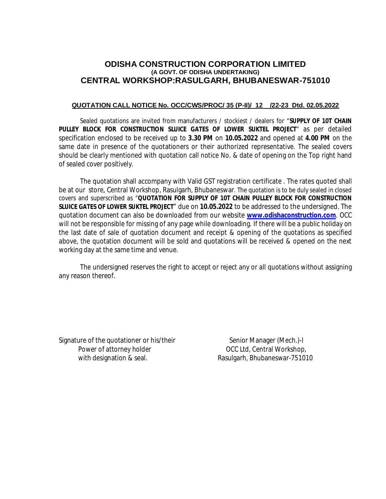## **ODISHA CONSTRUCTION CORPORATION LIMITED (A GOVT. OF ODISHA UNDERTAKING) CENTRAL WORKSHOP:RASULGARH, BHUBANESWAR-751010**

#### **QUOTATION CALL NOTICE No. OCC/CWS/PROC/ 35 (P-II)/ 12 /22-23 Dtd. 02.05.2022**

Sealed quotations are invited from manufacturers / stockiest / dealers for "**SUPPLY OF 10T CHAIN PULLEY BLOCK FOR CONSTRUCTION SLUICE GATES OF LOWER SUKTEL PROJECT**" as per detailed specification enclosed to be received up to **3.30 PM** on **10.05.2022** and opened at **4.00 PM** on the same date in presence of the quotationers or their authorized representative. The sealed covers should be clearly mentioned with quotation call notice No. & date of opening on the Top right hand of sealed cover positively.

The quotation shall accompany with Valid GST registration certificate . The rates quoted shall be at our store, Central Workshop, Rasulgarh, Bhubaneswar. The quotation is to be duly sealed in closed covers and superscribed as "**QUOTATION FOR SUPPLY OF 10T CHAIN PULLEY BLOCK FOR CONSTRUCTION SLUICE GATES OF LOWER SUKTEL PROJECT**" due on **10.05.2022** to be addressed to the undersigned. The quotation document can also be downloaded from our website **www.odishaconstruction.com**. OCC will not be responsible for missing of any page while downloading. If there will be a public holiday on the last date of sale of quotation document and receipt & opening of the quotations as specified above, the quotation document will be sold and quotations will be received & opened on the next working day at the same time and venue.

The undersigned reserves the right to accept or reject any or all quotations without assigning any reason thereof.

Signature of the quotationer or his/their Senior Manager (Mech.)-I Power of attorney holder **Department COCC Ltd, Central Workshop**, with designation & seal. Rasulgarh, Bhubaneswar-751010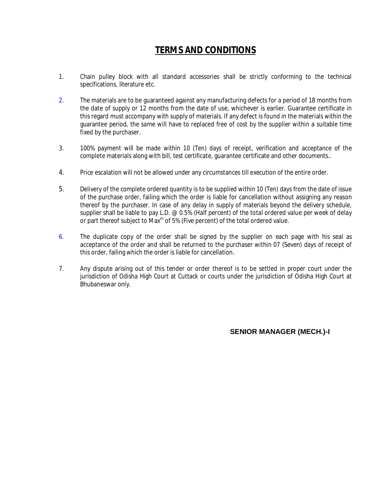## **TERMS AND CONDITIONS**

- 1. Chain pulley block with all standard accessories shall be strictly conforming to the technical specifications, literature etc.
- 2. The materials are to be guaranteed against any manufacturing defects for a period of 18 months from the date of supply or 12 months from the date of use, whichever is earlier. Guarantee certificate in this regard must accompany with supply of materials. If any defect is found in the materials within the guarantee period, the same will have to replaced free of cost by the supplier within a suitable time fixed by the purchaser.
- 3. 100% payment will be made within 10 (Ten) days of receipt, verification and acceptance of the complete materials along with bill, test certificate, guarantee certificate and other documents..
- 4. Price escalation will not be allowed under any circumstances till execution of the entire order.
- 5. Delivery of the complete ordered quantity is to be supplied within 10 (Ten) days from the date of issue of the purchase order, failing which the order is liable for cancellation without assigning any reason thereof by the purchaser. In case of any delay in supply of materials beyond the delivery schedule, supplier shall be liable to pay L.D. @ 0.5% (Half percent) of the total ordered value per week of delay or part thereof subject to Max<sup>m</sup> of 5% (Five percent) of the total ordered value.
- 6. The duplicate copy of the order shall be signed by the supplier on each page with his seal as acceptance of the order and shall be returned to the purchaser within 07 (Seven) days of receipt of this order, failing which the order is liable for cancellation.
- 7. Any dispute arising out of this tender or order thereof is to be settled in proper court under the jurisdiction of Odisha High Court at Cuttack or courts under the jurisdiction of Odisha High Court at Bhubaneswar only.

## **SENIOR MANAGER (MECH.)-I**